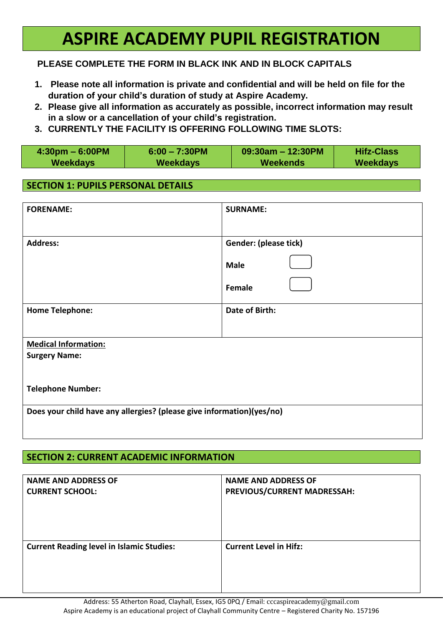# **ASPIRE ACADEMY PUPIL REGISTRATION**

## **PLEASE COMPLETE THE FORM IN BLACK INK AND IN BLOCK CAPITALS**

- **1. Please note all information is private and confidential and will be held on file for the duration of your child's duration of study at Aspire Academy.**
- **2. Please give all information as accurately as possible, incorrect information may result in a slow or a cancellation of your child's registration.**
- **3. CURRENTLY THE FACILITY IS OFFERING FOLLOWING TIME SLOTS:**

| $4:30 \text{pm} - 6:00 \text{pm}$ | $6:00 - 7:30$ PM | $09:30$ am - 12:30PM | <b>Hifz-Class</b> |
|-----------------------------------|------------------|----------------------|-------------------|
| Weekdays                          | <b>Weekdays</b>  | Weekends             | Weekdays          |

### **SECTION 1: PUPILS PERSONAL DETAILS**

| <b>FORENAME:</b>                                                      | <b>SURNAME:</b>       |  |
|-----------------------------------------------------------------------|-----------------------|--|
| <b>Address:</b>                                                       | Gender: (please tick) |  |
|                                                                       | <b>Male</b>           |  |
|                                                                       | Female                |  |
| <b>Home Telephone:</b>                                                | <b>Date of Birth:</b> |  |
|                                                                       |                       |  |
| <b>Medical Information:</b>                                           |                       |  |
| <b>Surgery Name:</b>                                                  |                       |  |
|                                                                       |                       |  |
| <b>Telephone Number:</b>                                              |                       |  |
| Does your child have any allergies? (please give information)(yes/no) |                       |  |
|                                                                       |                       |  |

## **SECTION 2: CURRENT ACADEMIC INFORMATION**

| <b>NAME AND ADDRESS OF</b>                       | <b>NAME AND ADDRESS OF</b>    |
|--------------------------------------------------|-------------------------------|
| <b>CURRENT SCHOOL:</b>                           | PREVIOUS/CURRENT MADRESSAH:   |
| <b>Current Reading level in Islamic Studies:</b> | <b>Current Level in Hifz:</b> |